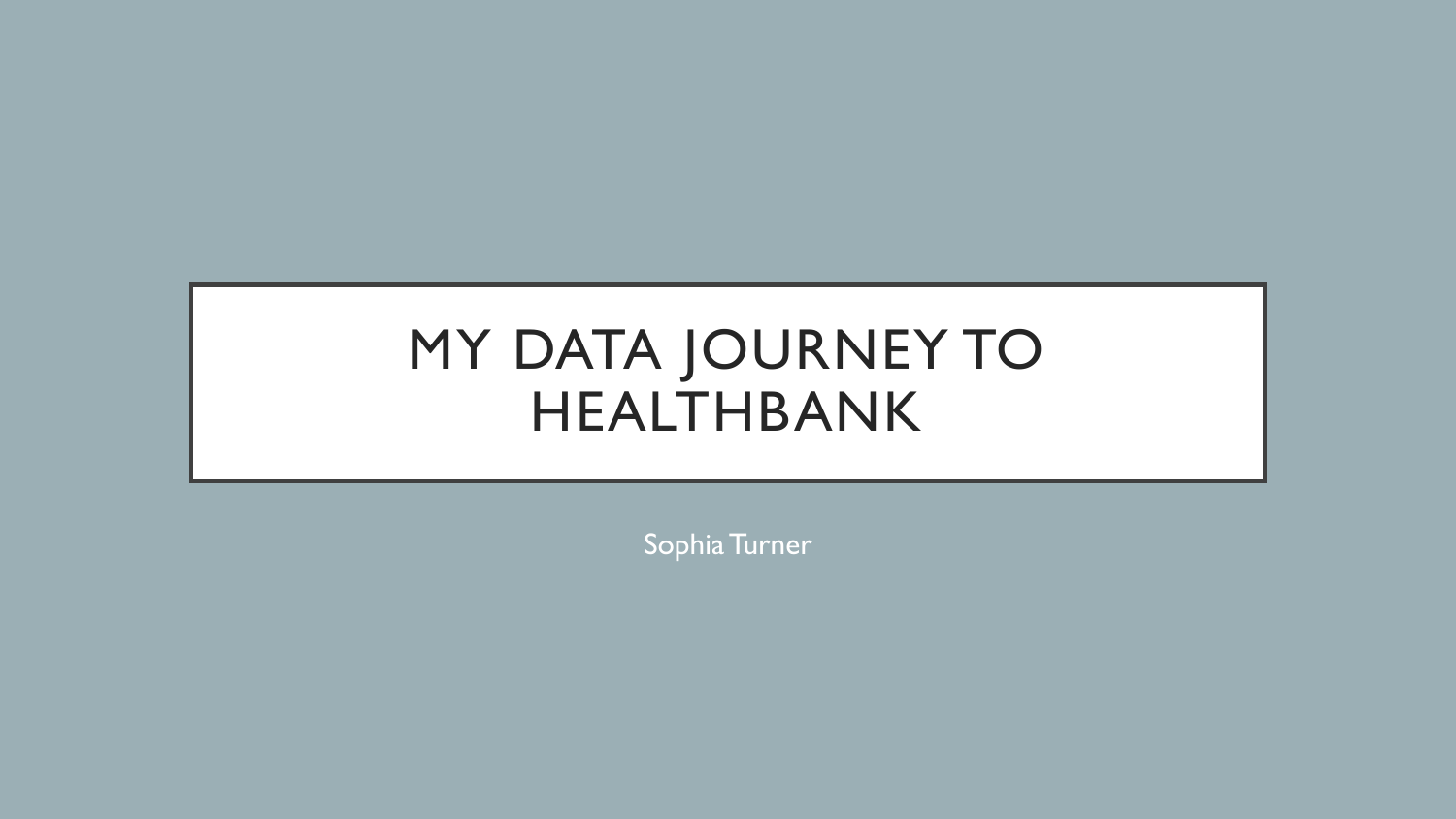# MY DATA JOURNEY TO HEALTHBANK

Sophia Turner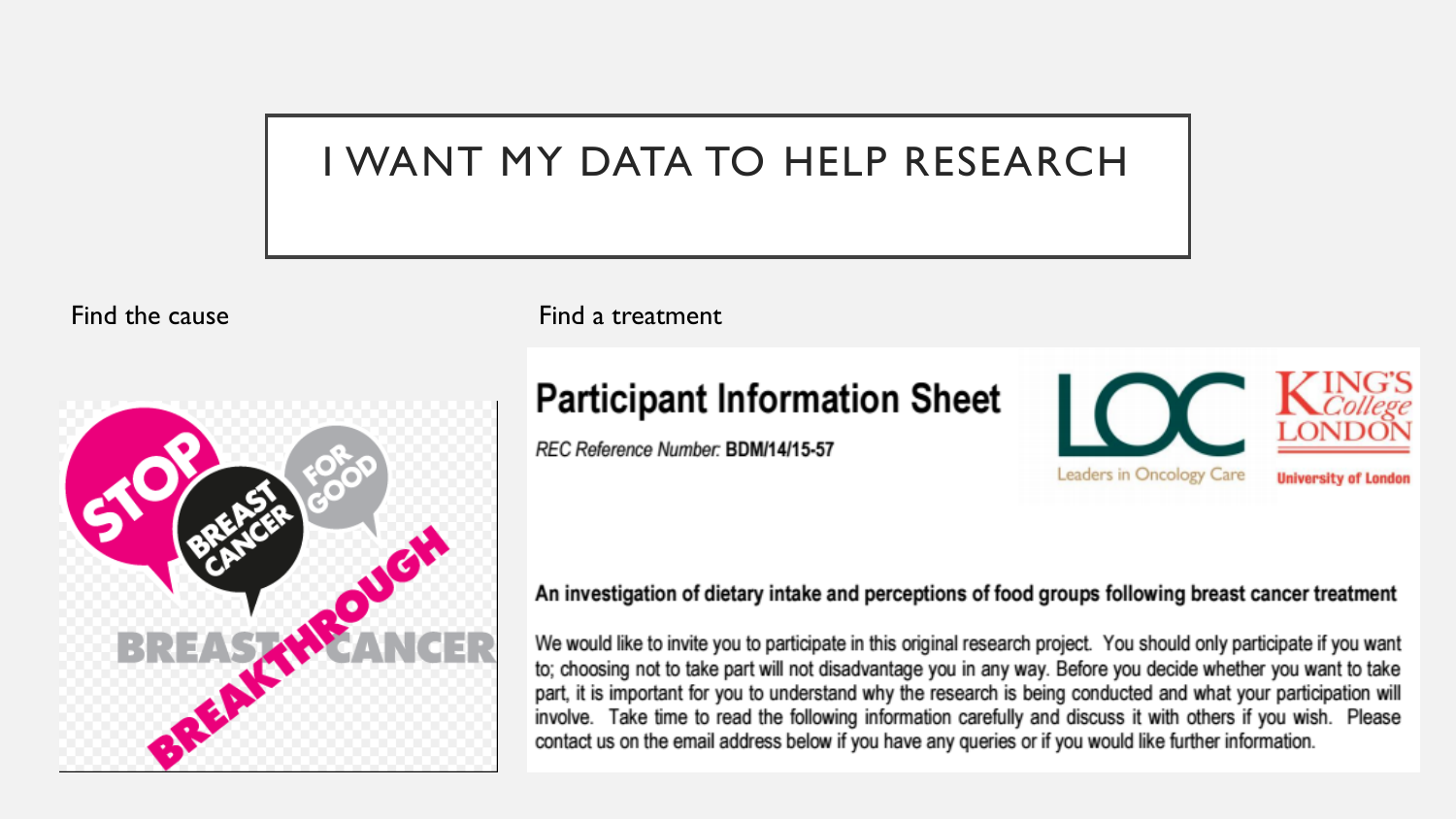#### I WANT MY DATA TO HELP RESEARCH



Find the cause **Find a treatment** 

#### **Participant Information Sheet**

REC Reference Number: BDM/14/15-57



#### An investigation of dietary intake and perceptions of food groups following breast cancer treatment

We would like to invite you to participate in this original research project. You should only participate if you want to; choosing not to take part will not disadvantage you in any way. Before you decide whether you want to take part, it is important for you to understand why the research is being conducted and what your participation will involve. Take time to read the following information carefully and discuss it with others if you wish. Please contact us on the email address below if you have any queries or if you would like further information.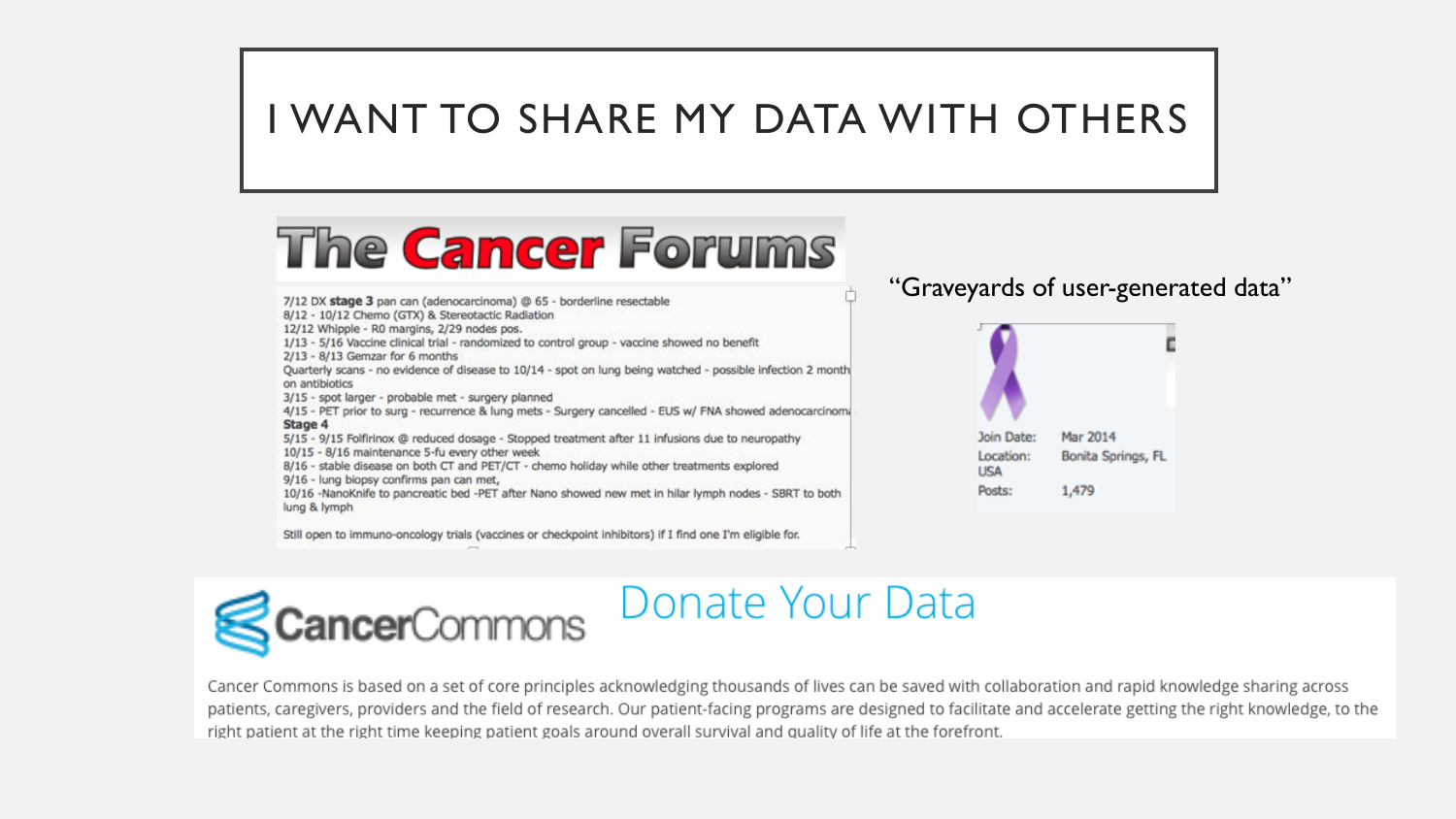#### I WANT TO SHARE MY DATA WITH OTHERS

# **The Cancer Forums**

7/12 DX stage 3 pan can (adenocarcinoma) @ 65 - borderline resectable

8/12 - 10/12 Chemo (GTX) & Stereotactic Radiation

12/12 Whipple - R0 margins, 2/29 nodes pos.

1/13 - 5/16 Vaccine clinical trial - randomized to control group - vaccine showed no benefit

 $2/13 - 8/13$  Gemzar for 6 months

Quarterly scans - no evidence of disease to 10/14 - spot on lung being watched - possible infection 2 month on antibiotics

3/15 - spot larger - probable met - surgery planned

4/15 - PET prior to surg - recurrence & lung mets - Surgery cancelled - EUS w/ FNA showed adenocarcinoma Stage 4

5/15 - 9/15 Folfirinox @ reduced dosage - Stopped treatment after 11 infusions due to neuropathy

10/15 - 8/16 maintenance 5-fu every other week

8/16 - stable disease on both CT and PET/CT - chemo holiday while other treatments explored

9/16 - lung biopsy confirms pan can met,

10/16 -NanoKnife to pancreatic bed -PET after Nano showed new met in hilar lymph nodes - SBRT to both lung & lymph

Still open to immuno-oncology trials (vaccines or checkpoint inhibitors) if I find one I'm eligible for.

#### "Graveyards of user-generated data"





### Donate Your Data

Cancer Commons is based on a set of core principles acknowledging thousands of lives can be saved with collaboration and rapid knowledge sharing across patients, caregivers, providers and the field of research. Our patient-facing programs are designed to facilitate and accelerate getting the right knowledge, to the right patient at the right time keeping patient goals around overall survival and quality of life at the forefront.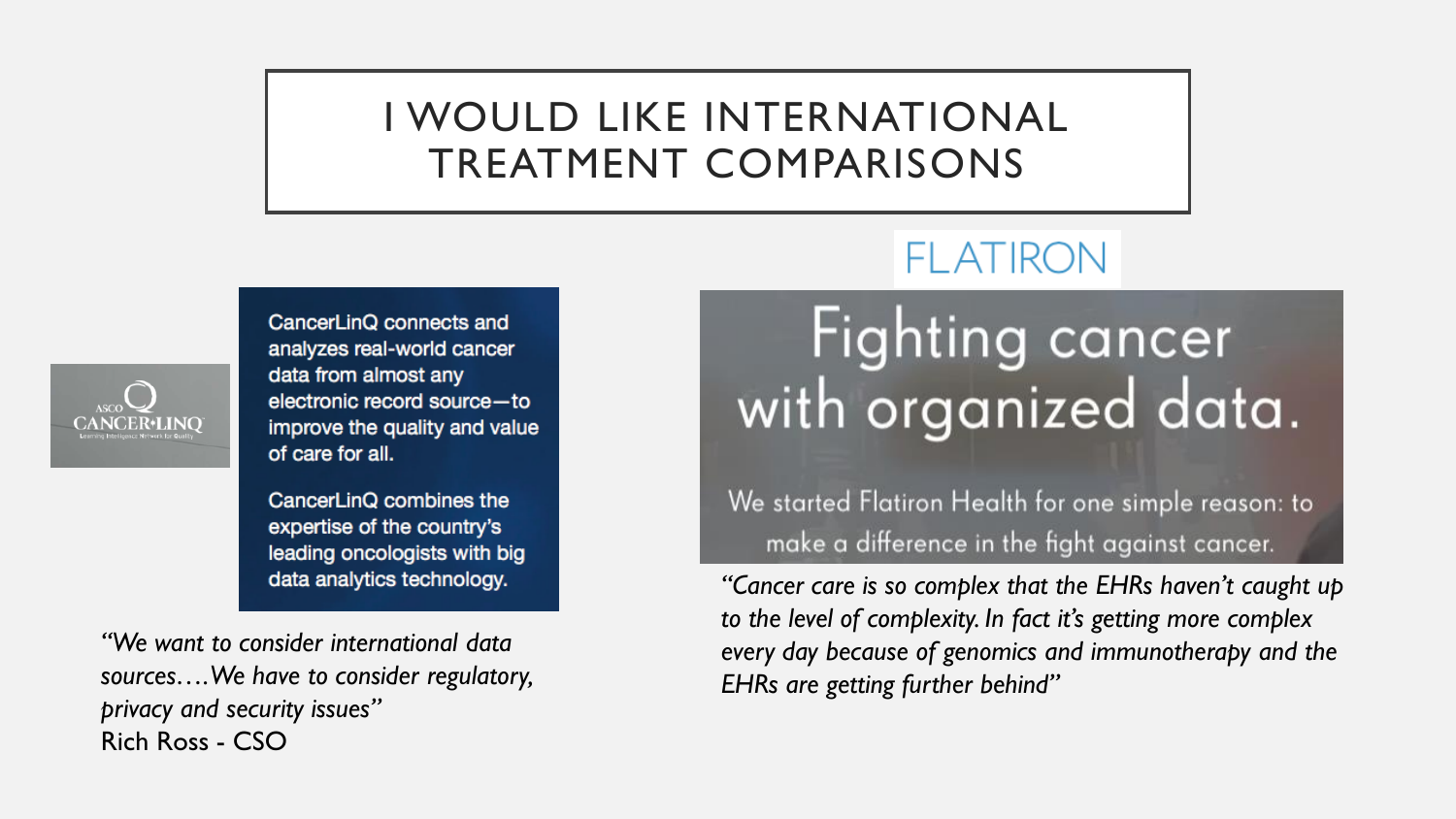#### I WOULD LIKE INTERNATIONAL TREATMENT COMPARISONS



CancerLinQ connects and analyzes real-world cancer data from almost any electronic record source-to improve the quality and value of care for all.

CancerLinQ combines the expertise of the country's leading oncologists with big data analytics technology.

*"We want to consider international data sources…. We have to consider regulatory, privacy and security issues"*  Rich Ross - CSO

### **FLATIRON**

# **Fighting cancer** with organized data.

We started Flatiron Health for one simple reason: to make a difference in the fight against cancer.

*"Cancer care is so complex that the EHRs haven't caught up to the level of complexity. In fact it's getting more complex every day because of genomics and immunotherapy and the EHRs are getting further behind"*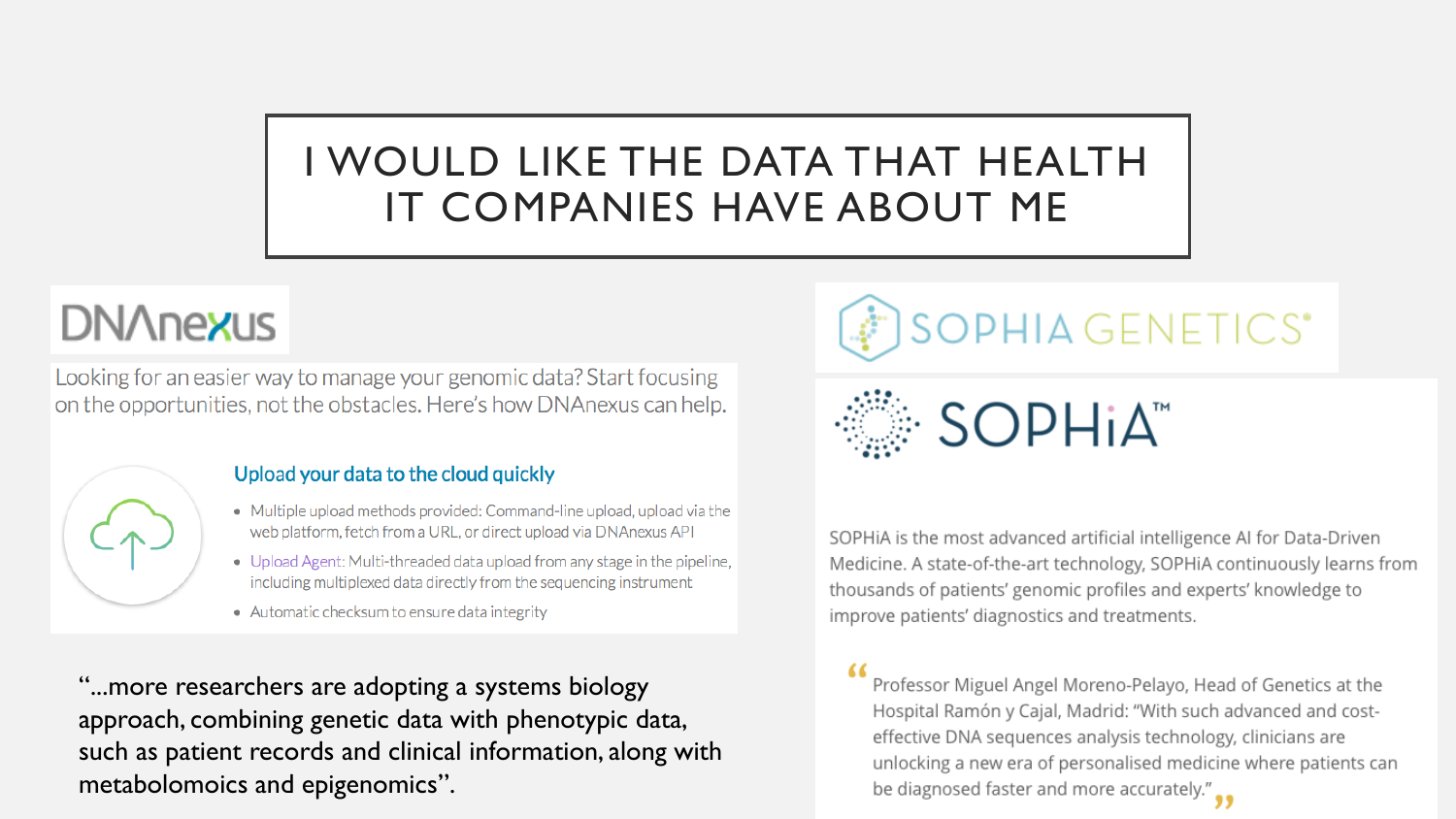### I WOULD LIKE THE DATA THAT HEALTH IT COMPANIES HAVE ABOUT ME

## **DN/Inexus**

Looking for an easier way to manage your genomic data? Start focusing on the opportunities, not the obstacles. Here's how DNAnexus can help.



#### Upload your data to the cloud quickly

- Multiple upload methods provided: Command-line upload, upload via the web platform, fetch from a URL, or direct upload via DNAnexus API
- Upload Agent: Multi-threaded data upload from any stage in the pipeline, including multiplexed data directly from the sequencing instrument
- Automatic checksum to ensure data integrity

"...more researchers are adopting a systems biology approach, combining genetic data with phenotypic data, such as patient records and clinical information, along with metabolomoics and epigenomics".



· SOPHIA<sup>™</sup>

SOPHIA is the most advanced artificial intelligence AI for Data-Driven Medicine. A state-of-the-art technology, SOPHiA continuously learns from thousands of patients' genomic profiles and experts' knowledge to improve patients' diagnostics and treatments.

Professor Miguel Angel Moreno-Pelayo, Head of Genetics at the Hospital Ramón y Cajal, Madrid: "With such advanced and costeffective DNA sequences analysis technology, clinicians are unlocking a new era of personalised medicine where patients can be diagnosed faster and more accurately." $\bullet$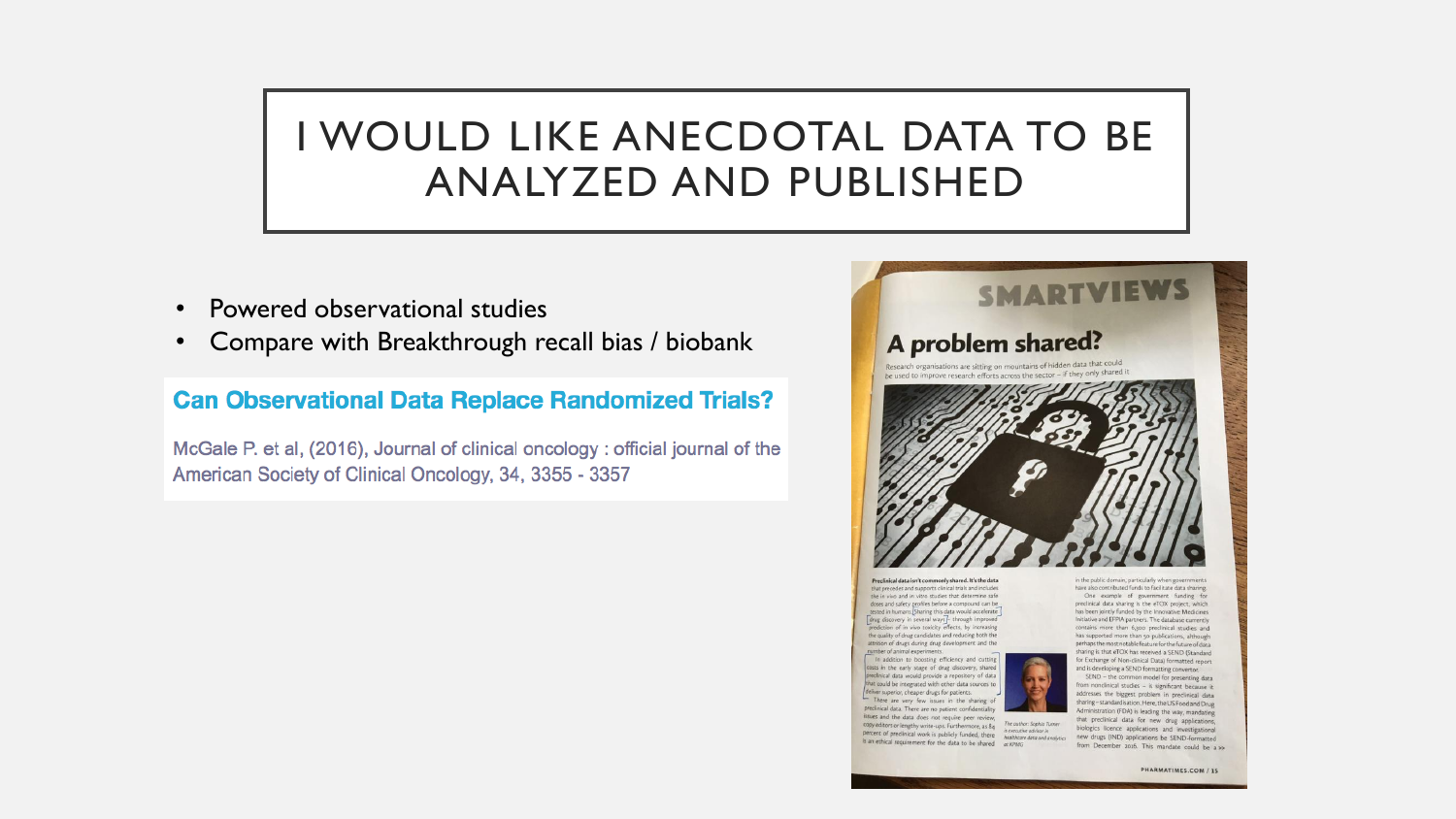#### I WOULD LIKE ANECDOTAL DATA TO BE ANALYZED AND PUBLISHED

- Powered observational studies
- Compare with Breakthrough recall bias / biobank

#### **Can Observational Data Replace Randomized Trials?**

McGale P. et al, (2016), Journal of clinical oncology : official journal of the American Society of Clinical Oncology, 34, 3355 - 3357



Preclinical data jsn't commonly shared. It's the data that precedes and supports clinical trials and includes the in vivo and in vitro studies that determine safe doses and safety profiles before a compound can be tested in humans. [Sharing this data would accelerate]<br>
[drug discovery in several ways]- through improved] prediction of in vivo toxicity effects, by increasing the quality of drug candidates and reducing both the attrition of drugs during drug development and the number of animal experim

In addition to boosting efficiency and cutting costs in the early stage of drug discovery, shared preclinical data would provide a repository of data that could be integrated with other data sources to deliver superior, cheaper drugs for patients. There are very few issues in the sharing of

preclinical data. There are no patient confidentiality issues and the data does not require peer review, copy editors or lengthy write-ups. Furthermore, as 84 The author: Sophia Turner is executive advisor in is an ethical requirement for the data to be shared  $a$  KPMG



have also contributed funds to facilitate data sharing.

from nonclinical studies - is significant because it addresses the biggest problem in preclinical data sharing-standardisation. Here, the US Food and Drug Administration (FDA) is leading the way, mandating that preclinical data for new drug applications, biologics licence applications and investigational percent of preclinical work is publicly funded, there heather devisor in the condition of prescriptional investigational state of the conditional condition of the conditions of the character of the character of the charact from December 2016. This mandate could be a >>

for Exchange of Non-clinical Data) formatted report SEND - the common model for presenting data

PHARMATIMES.COM / 15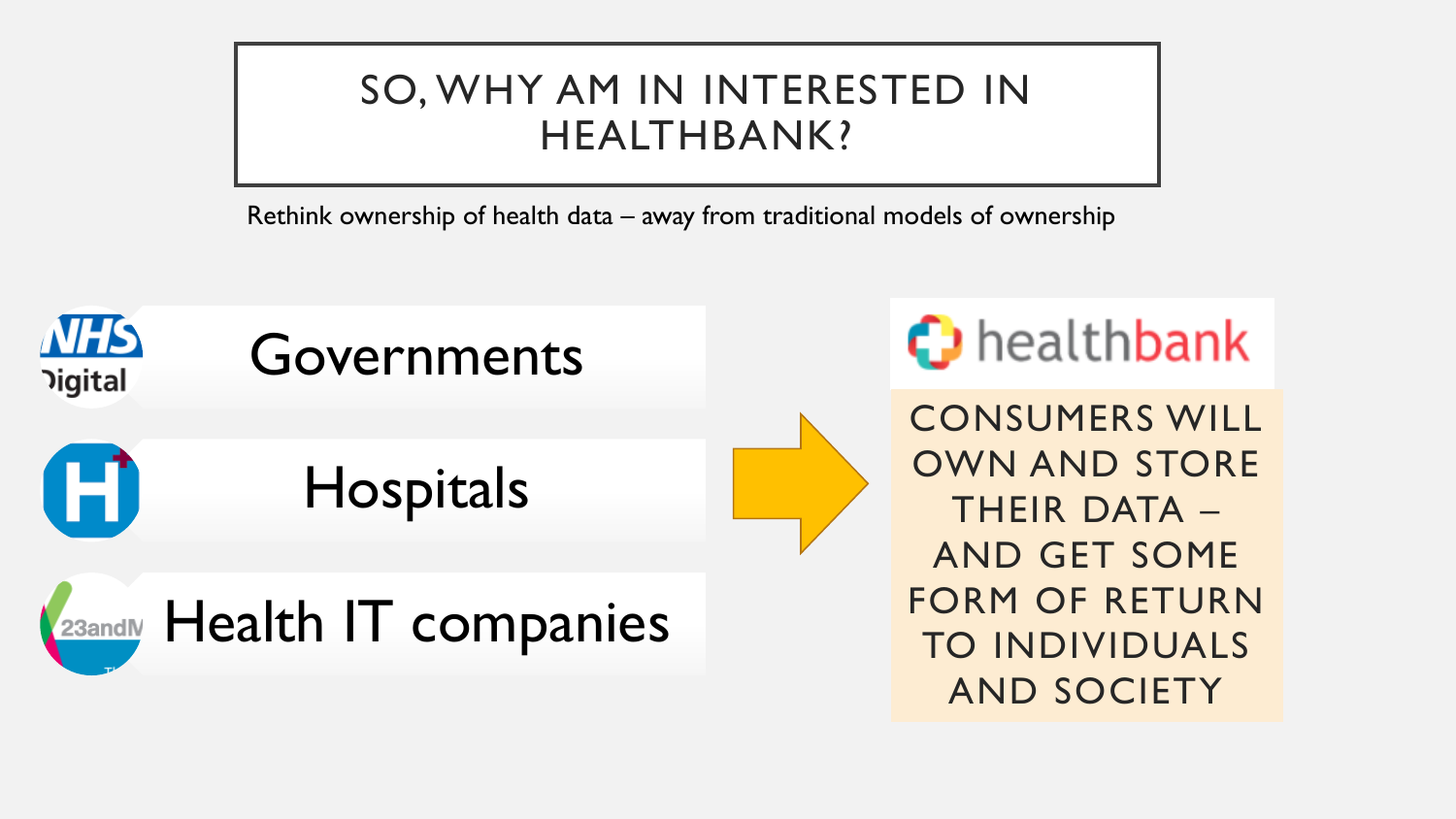#### SO, WHY AM IN INTERESTED IN HEALTHBANK?

Rethink ownership of health data – away from traditional models of ownership

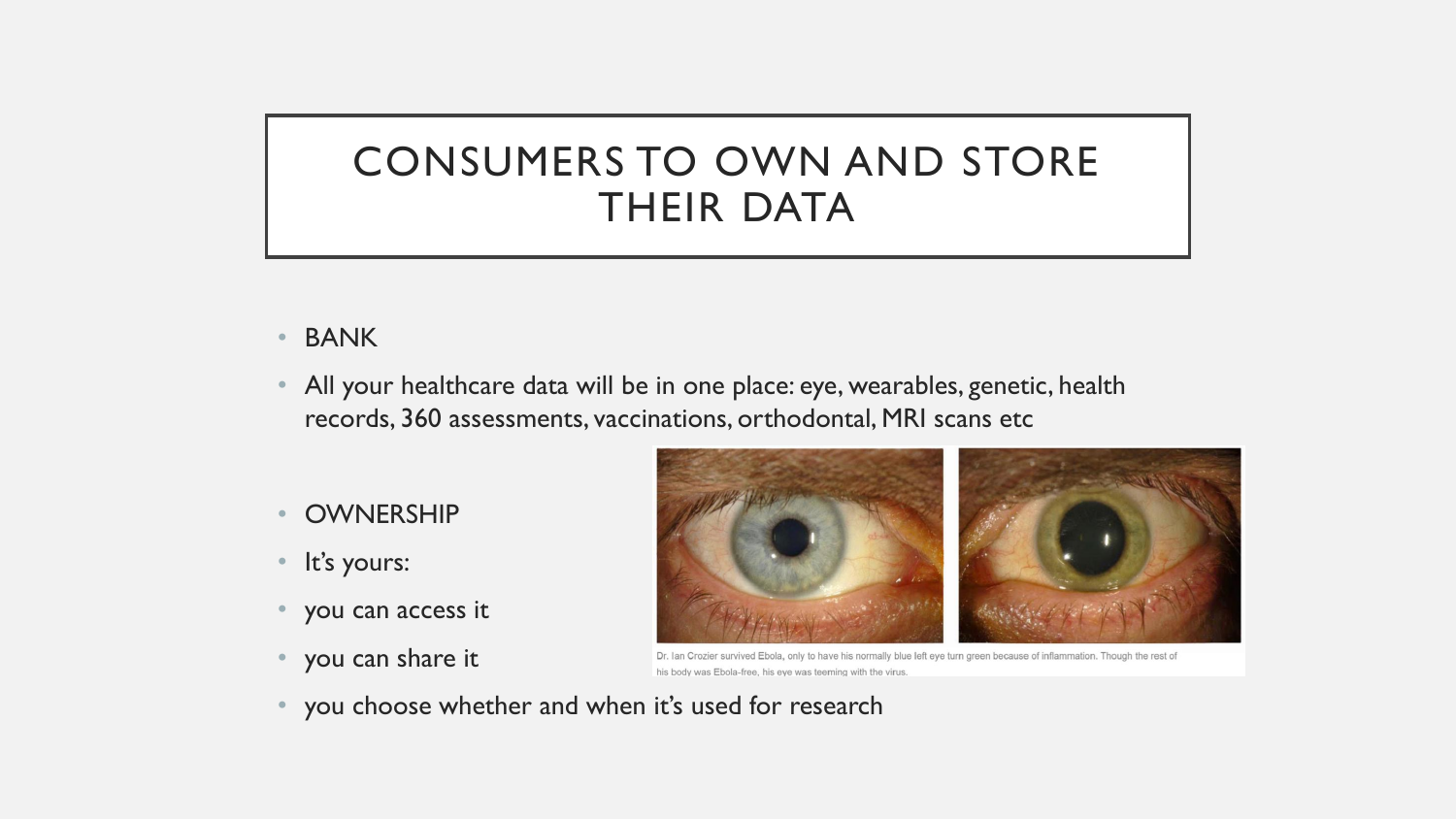### CONSUMERS TO OWN AND STORE THEIR DATA

- BANK
- All your healthcare data will be in one place: eye, wearables, genetic, health records, 360 assessments, vaccinations, orthodontal, MRI scans etc
- **OWNERSHIP**
- It's yours:
- you can access it
- you can share it



Dr. Ian Crozier survived Ebola, only to have his normally blue left eye turn green because of inflammation. Though the rest of his body was Ebola-free, his eye was teeming with the virus

• you choose whether and when it's used for research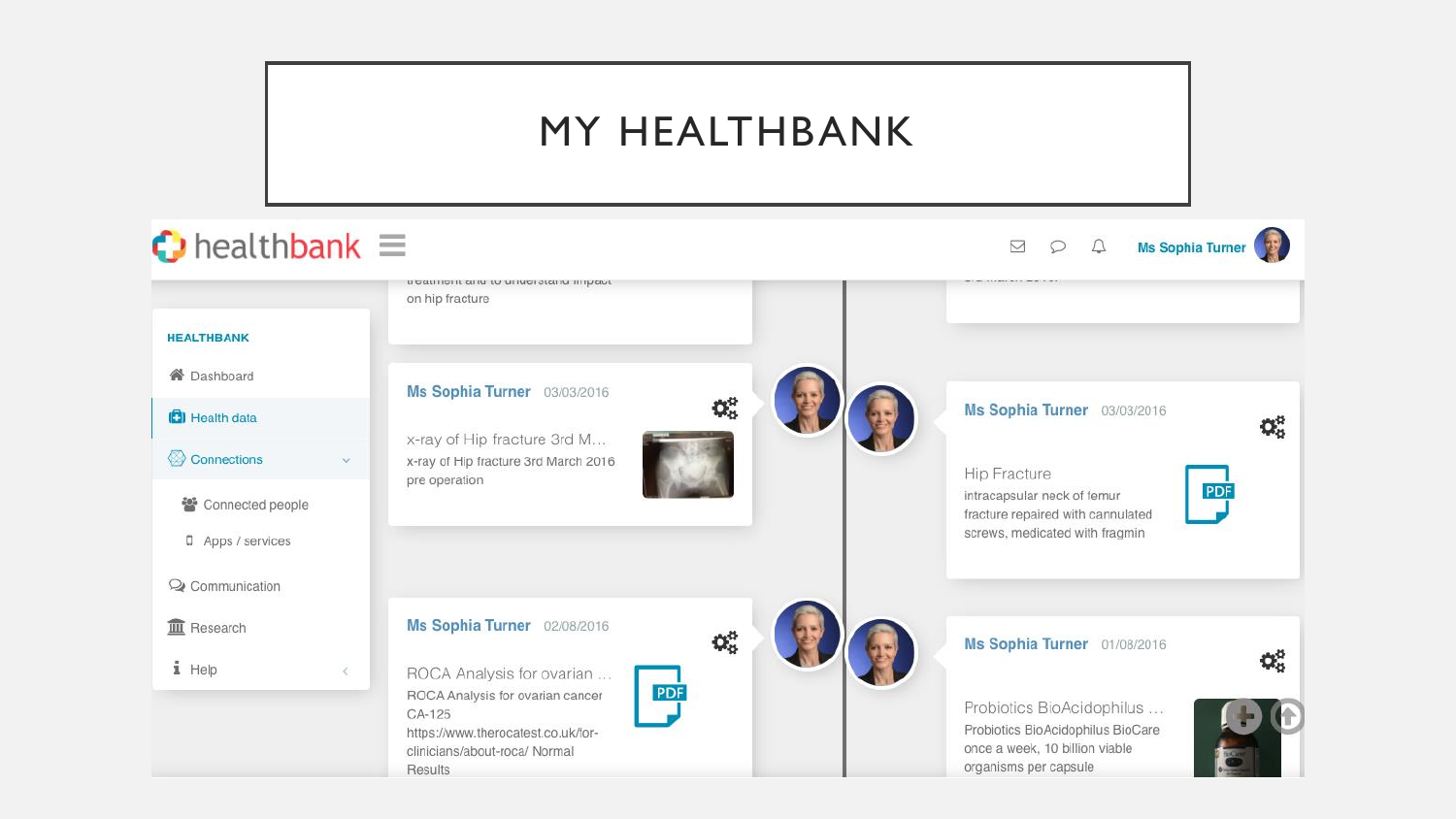#### MY HEALTHBANK

#### $\bigcirc$  healthbank  $\equiv$  $QQ$ Ms Sophia Turner  $\triangledown$ נו סמנו ווסדת מותו נט מו ועסו ממותו וודון ומעד on hip fracture **HEALTHBANK 谷** Dashboard Ms Sophia Turner 03/03/2016  $\mathbf{Q}_{n}^{n}$ Ms Sophia Turner 03/03/2016 **D** Health data  $\mathbf{Q}_{\mathrm{S}}^{\mathrm{B}}$ x-ray of Hip fracture 3rd M... Connections x-ray of Hip fracture 3rd March 2016  $\ddot{\mathbf{v}}$ **Hip Fracture** pre operation **PDF** intracapsular neck of femur 答 Connected people fracture repaired with cannulated screws, medicated with fragmin D Apps / services Q Communication **III** Research Ms Sophia Turner 02/08/2016  $\mathbf{Q}_{\alpha}^{\alpha}$ Ms Sophia Turner 01/08/2016 Q. i Help ROCA Analysis for ovarian ...  $\,<$ PDF ROCA Analysis for ovarian cancer Probiotics BioAcidophilus ... CA-125 Probiotics BioAcidophilus BioCare https://www.therocatest.co.uk/foronce a week, 10 billion viable clinicians/about-roca/ Normal organisms per capsule Results